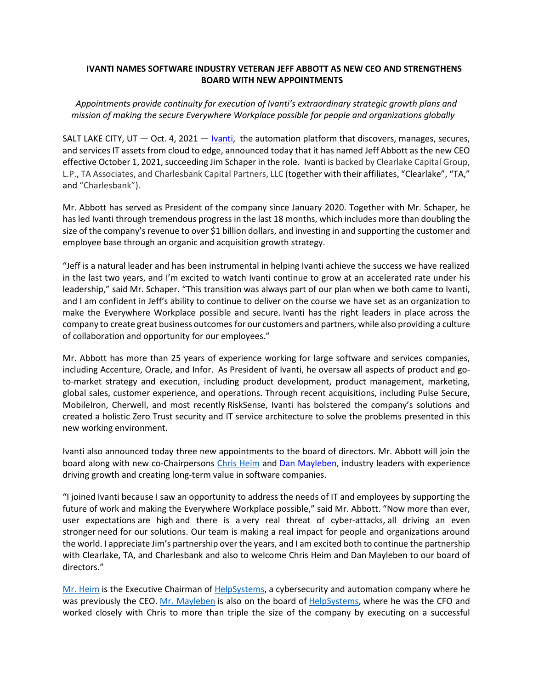# **IVANTI NAMES SOFTWARE INDUSTRY VETERAN JEFF ABBOTT AS NEW CEO AND STRENGTHENS BOARD WITH NEW APPOINTMENTS**

*Appointments provide continuity for execution of Ivanti's extraordinary strategic growth plans and mission of making the secure Everywhere Workplace possible for people and organizations globally*

SALT LAKE CITY, UT  $-$  Oct. 4, 2021  $-$  [Ivanti,](http://www.ivanti.com/) the automation platform that discovers, manages, secures, and services IT assets from cloud to edge, announced today that it has named Jeff Abbott as the new CEO effective October 1, 2021, succeeding Jim Schaper in the role. Ivanti is backed by Clearlake Capital Group, L.P., TA Associates, and Charlesbank Capital Partners, LLC (together with their affiliates, "Clearlake", "TA," and "Charlesbank").

Mr. Abbott has served as President of the company since January 2020. Together with Mr. Schaper, he has led Ivanti through tremendous progress in the last 18 months, which includes more than doubling the size of the company's revenue to over \$1 billion dollars, and investing in and supporting the customer and employee base through an organic and acquisition growth strategy.

"Jeff is a natural leader and has been instrumental in helping Ivanti achieve the success we have realized in the last two years, and I'm excited to watch Ivanti continue to grow at an accelerated rate under his leadership," said Mr. Schaper. "This transition was always part of our plan when we both came to Ivanti, and I am confident in Jeff's ability to continue to deliver on the course we have set as an organization to make the Everywhere Workplace possible and secure. Ivanti has the right leaders in place across the company to create great business outcomes for our customers and partners, while also providing a culture of collaboration and opportunity for our employees."

Mr. Abbott has more than 25 years of experience working for large software and services companies, including Accenture, Oracle, and Infor.  As President of Ivanti, he oversaw all aspects of product and goto-market strategy and execution, including product development, product management, marketing, global sales, customer experience, and operations. Through recent acquisitions, including Pulse Secure, MobileIron, Cherwell, and most recently RiskSense, Ivanti has bolstered the company's solutions and created a holistic Zero Trust security and IT service architecture to solve the problems presented in this new working environment.

Ivanti also announced today three new appointments to the board of directors. Mr. Abbott will join the board along with new co-Chairpersons [Chris Heim](https://www.linkedin.com/search/results/all/?keywords=chris%20heim&origin=GLOBAL_SEARCH_HEADER&sid=C9O) and [Dan Mayleben,](https://contactmonkey.com/api/v1/tracker?cm_session=7835f899-9a49-4311-99cd-19735e70b13c&cs=41574eb3-5e53-4c48-9f54-af70d82e8e4a&cm_type=link&cm_link=f35a7e3f-3217-4365-be4c-c13ac29d27f3&cm_destination=https://www.linkedin.com/in/dan-mayleben-6908ba4/) industry leaders with experience driving growth and creating long-term value in software companies.

"I joined Ivanti because I saw an opportunity to address the needs of IT and employees by supporting the future of work and making the Everywhere Workplace possible," said Mr. Abbott. "Now more than ever, user expectations are high and there is a very real threat of cyber-attacks, all driving an even stronger need for our solutions. Our team is making a real impact for people and organizations around the world. I appreciate Jim's partnership over the years, and I am excited both to continue the partnership with Clearlake, TA, and Charlesbank and also to welcome Chris Heim and Dan Mayleben to our board of directors."

[Mr. Heim](https://contactmonkey.com/api/v1/tracker?cm_session=7835f899-9a49-4311-99cd-19735e70b13c&cs=41574eb3-5e53-4c48-9f54-af70d82e8e4a&cm_type=link&cm_link=c3dad3af-3b81-4e6a-98de-141d70656835&cm_destination=https://www.helpsystems.com/profile/chris-heim) is the Executive Chairman of [HelpSystems,](https://contactmonkey.com/api/v1/tracker?cm_session=7835f899-9a49-4311-99cd-19735e70b13c&cs=41574eb3-5e53-4c48-9f54-af70d82e8e4a&cm_type=link&cm_link=8e8aa610-9657-44bf-b556-a8e1536311e1&cm_destination=https://www.helpsystems.com/) a cybersecurity and automation company where he was previously the CEO. [Mr. Mayleben](https://contactmonkey.com/api/v1/tracker?cm_session=7835f899-9a49-4311-99cd-19735e70b13c&cs=41574eb3-5e53-4c48-9f54-af70d82e8e4a&cm_type=link&cm_link=f35a7e3f-3217-4365-be4c-c13ac29d27f3&cm_destination=https://www.linkedin.com/in/dan-mayleben-6908ba4/) is also on the board of [HelpSystems,](https://contactmonkey.com/api/v1/tracker?cm_session=7835f899-9a49-4311-99cd-19735e70b13c&cs=41574eb3-5e53-4c48-9f54-af70d82e8e4a&cm_type=link&cm_link=1f253f4d-8afb-4209-8c32-181281628461&cm_destination=https://www.helpsystems.com/) where he was the CFO and worked closely with Chris to more than triple the size of the company by executing on a successful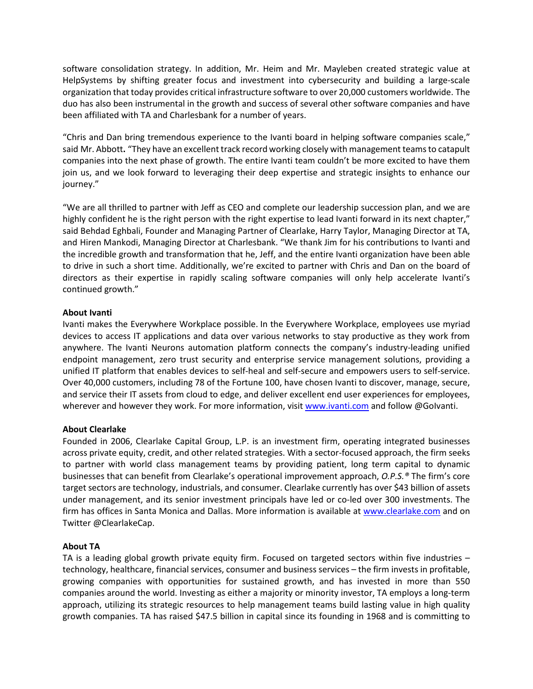software consolidation strategy. In addition, Mr. Heim and Mr. Mayleben created strategic value at HelpSystems by shifting greater focus and investment into cybersecurity and building a large-scale organization that today provides critical infrastructure software to over 20,000 customers worldwide. The duo has also been instrumental in the growth and success of several other software companies and have been affiliated with TA and Charlesbank for a number of years.

"Chris and Dan bring tremendous experience to the Ivanti board in helping software companies scale," said Mr. Abbott**.** "They have an excellent track record working closely with management teamsto catapult companies into the next phase of growth. The entire Ivanti team couldn't be more excited to have them join us, and we look forward to leveraging their deep expertise and strategic insights to enhance our journey."

"We are all thrilled to partner with Jeff as CEO and complete our leadership succession plan, and we are highly confident he is the right person with the right expertise to lead Ivanti forward in its next chapter," said Behdad Eghbali, Founder and Managing Partner of Clearlake, Harry Taylor, Managing Director at TA, and Hiren Mankodi, Managing Director at Charlesbank. "We thank Jim for his contributions to Ivanti and the incredible growth and transformation that he, Jeff, and the entire Ivanti organization have been able to drive in such a short time. Additionally, we're excited to partner with Chris and Dan on the board of directors as their expertise in rapidly scaling software companies will only help accelerate Ivanti's continued growth."

## **About Ivanti**

Ivanti makes the Everywhere Workplace possible. In the Everywhere Workplace, employees use myriad devices to access IT applications and data over various networks to stay productive as they work from anywhere. The Ivanti Neurons automation platform connects the company's industry-leading unified endpoint management, zero trust security and enterprise service management solutions, providing a unified IT platform that enables devices to self-heal and self-secure and empowers users to self-service. Over 40,000 customers, including 78 of the Fortune 100, have chosen Ivanti to discover, manage, secure, and service their IT assets from cloud to edge, and deliver excellent end user experiences for employees, wherever and however they work. For more information, visit [www.ivanti.com](http://www.ivanti.com/) and follow @GoIvanti.

## **About Clearlake**

Founded in 2006, Clearlake Capital Group, L.P. is an investment firm, operating integrated businesses across private equity, credit, and other related strategies. With a sector-focused approach, the firm seeks to partner with world class management teams by providing patient, long term capital to dynamic businesses that can benefit from Clearlake's operational improvement approach, *O.P.S.®* The firm's core target sectors are technology, industrials, and consumer. Clearlake currently has over \$43 billion of assets under management, and its senior investment principals have led or co-led over 300 investments. The firm has offices in Santa Monica and Dallas. More information is available at www.clearlake.com and on Twitter @ClearlakeCap.

## **About TA**

TA is a leading global growth private equity firm. Focused on targeted sectors within five industries – technology, healthcare, financial services, consumer and business services – the firm invests in profitable, growing companies with opportunities for sustained growth, and has invested in more than 550 companies around the world. Investing as either a majority or minority investor, TA employs a long-term approach, utilizing its strategic resources to help management teams build lasting value in high quality growth companies. TA has raised \$47.5 billion in capital since its founding in 1968 and is committing to